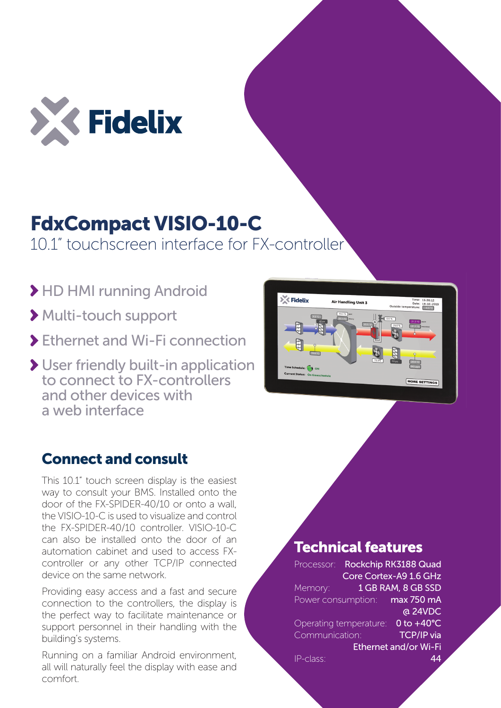

# FdxCompact VISIO-10-C

10.1" touchscreen interface for FX-controller

- HD HMI running Android
- Multi-touch support
- Ethernet and Wi-Fi connection
- User friendly built-in application to connect to FX-controllers and other devices with a web interface

## Connect and consult

This 10.1" touch screen display is the easiest way to consult your BMS. Installed onto the door of the FX-SPIDER-40/10 or onto a wall, the VISIO-10-C is used to visualize and control the FX-SPIDER-40/10 controller. VISIO-10-C can also be installed onto the door of an automation cabinet and used to access FXcontroller or any other TCP/IP connected device on the same network.

Providing easy access and a fast and secure connection to the controllers, the display is the perfect way to facilitate maintenance or support personnel in their handling with the building's systems.

Running on a familiar Android environment, all will naturally feel the display with ease and comfort.



### Technical features

Processor: Rockchip RK3188 Quad Core Cortex-A9 1.6 GHz 1 GB RAM, 8 GB SSD max 750 mA @ 24VDC Operating temperature: 0 to +40°C TCP/IP via Ethernet and/or Wi-Fi 44 Memory: Power consumption: Communication: IP-class: